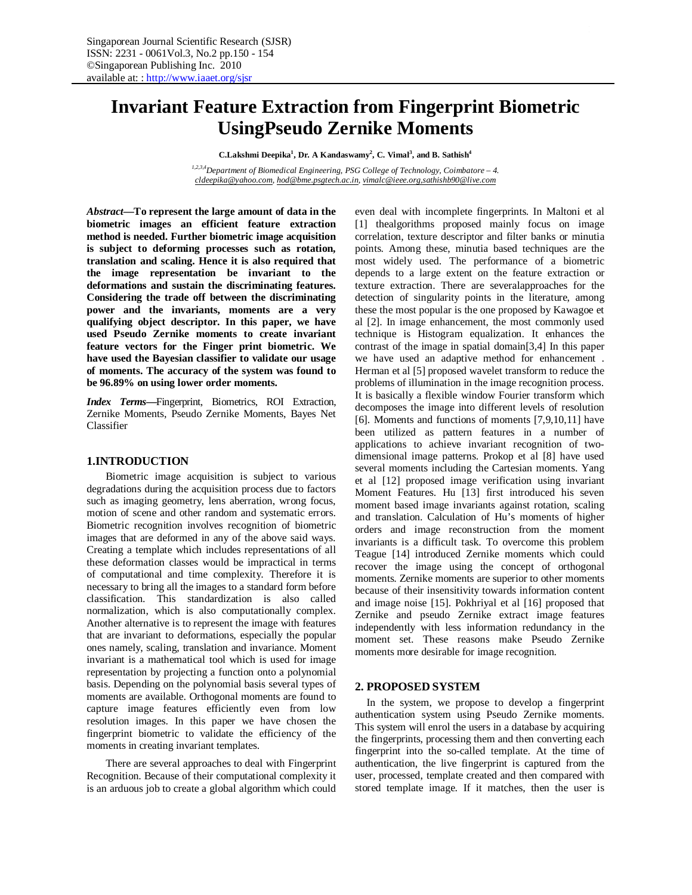# **Invariant Feature Extraction from Fingerprint Biometric UsingPseudo Zernike Moments**

**C.Lakshmi Deepika<sup>1</sup> , Dr. A Kandaswamy<sup>2</sup> , C. Vimal<sup>3</sup> , and B. Sathish<sup>4</sup>**

*1,2,3,4Department of Biomedical Engineering, PSG College of Technology, Coimbatore – 4. cldeepika@yahoo.com, hod@bme.psgtech.ac.in, vimalc@ieee.org,sathishb90@live.com*

*Abstract***—To represent the large amount of data in the biometric images an efficient feature extraction method is needed. Further biometric image acquisition is subject to deforming processes such as rotation, translation and scaling. Hence it is also required that the image representation be invariant to the deformations and sustain the discriminating features. Considering the trade off between the discriminating power and the invariants, moments are a very qualifying object descriptor. In this paper, we have used Pseudo Zernike moments to create invariant feature vectors for the Finger print biometric. We have used the Bayesian classifier to validate our usage of moments. The accuracy of the system was found to be 96.89% on using lower order moments.**

*Index Terms***—**Fingerprint, Biometrics, ROI Extraction, Zernike Moments, Pseudo Zernike Moments, Bayes Net Classifier

## **1.INTRODUCTION**

Biometric image acquisition is subject to various degradations during the acquisition process due to factors such as imaging geometry, lens aberration, wrong focus, motion of scene and other random and systematic errors. Biometric recognition involves recognition of biometric images that are deformed in any of the above said ways. Creating a template which includes representations of all these deformation classes would be impractical in terms of computational and time complexity. Therefore it is necessary to bring all the images to a standard form before classification. This standardization is also called normalization, which is also computationally complex. Another alternative is to represent the image with features that are invariant to deformations, especially the popular ones namely, scaling, translation and invariance. Moment invariant is a mathematical tool which is used for image representation by projecting a function onto a polynomial basis. Depending on the polynomial basis several types of moments are available. Orthogonal moments are found to capture image features efficiently even from low resolution images. In this paper we have chosen the fingerprint biometric to validate the efficiency of the moments in creating invariant templates.

There are several approaches to deal with Fingerprint Recognition. Because of their computational complexity it is an arduous job to create a global algorithm which could

even deal with incomplete fingerprints. In Maltoni et al [1] thealgorithms proposed mainly focus on image correlation, texture descriptor and filter banks or minutia points. Among these, minutia based techniques are the most widely used. The performance of a biometric depends to a large extent on the feature extraction or texture extraction. There are severalapproaches for the detection of singularity points in the literature, among these the most popular is the one proposed by Kawagoe et al [2]. In image enhancement, the most commonly used technique is Histogram equalization. It enhances the contrast of the image in spatial domain[3,4] In this paper we have used an adaptive method for enhancement . Herman et al [5] proposed wavelet transform to reduce the problems of illumination in the image recognition process. It is basically a flexible window Fourier transform which decomposes the image into different levels of resolution [6]. Moments and functions of moments [7,9,10,11] have been utilized as pattern features in a number of applications to achieve invariant recognition of twodimensional image patterns. Prokop et al [8] have used several moments including the Cartesian moments. Yang et al [12] proposed image verification using invariant Moment Features. Hu [13] first introduced his seven moment based image invariants against rotation, scaling and translation. Calculation of Hu's moments of higher orders and image reconstruction from the moment invariants is a difficult task. To overcome this problem Teague [14] introduced Zernike moments which could recover the image using the concept of orthogonal moments. Zernike moments are superior to other moments because of their insensitivity towards information content and image noise [15]. Pokhriyal et al [16] proposed that Zernike and pseudo Zernike extract image features independently with less information redundancy in the moment set. These reasons make Pseudo Zernike moments more desirable for image recognition.

## **2. PROPOSED SYSTEM**

In the system, we propose to develop a fingerprint authentication system using Pseudo Zernike moments. This system will enrol the users in a database by acquiring the fingerprints, processing them and then converting each fingerprint into the so-called template. At the time of authentication, the live fingerprint is captured from the user, processed, template created and then compared with stored template image. If it matches, then the user is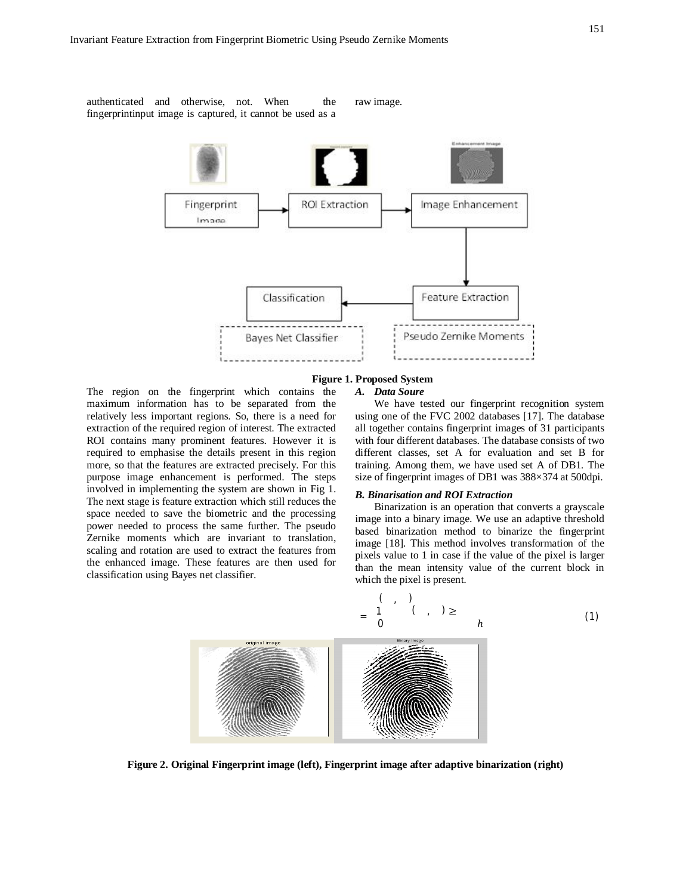authenticated and otherwise, not. When the fingerprintinput image is captured, it cannot be used as a raw image.



## **Figure 1. Proposed System**

The region on the fingerprint which contains the maximum information has to be separated from the relatively less important regions. So, there is a need for extraction of the required region of interest. The extracted ROI contains many prominent features. However it is required to emphasise the details present in this region more, so that the features are extracted precisely. For this purpose image enhancement is performed. The steps involved in implementing the system are shown in Fig 1. The next stage is feature extraction which still reduces the space needed to save the biometric and the processing power needed to process the same further. The pseudo Zernike moments which are invariant to translation, scaling and rotation are used to extract the features from the enhanced image. These features are then used for

classification using Bayes net classifier.

## *A. Data Soure*

We have tested our fingerprint recognition system using one of the FVC 2002 databases [17]. The database all together contains fingerprint images of 31 participants with four different databases. The database consists of two different classes, set A for evaluation and set B for training. Among them, we have used set A of DB1. The size of fingerprint images of DB1 was 388×374 at 500dpi.

#### *B. Binarisation and ROI Extraction*

Binarization is an operation that converts a grayscale image into a binary image. We use an adaptive threshold based binarization method to binarize the fingerprint image [18]. This method involves transformation of the pixels value to 1 in case if the value of the pixel is larger than the mean intensity value of the current block in which the pixel is present.

$$
=\begin{bmatrix}1 & \binom{n}{r} & \text{if } r \text{ is a } r \end{bmatrix}
$$

 $($  ,  $)$ 

**Figure 2. Original Fingerprint image (left), Fingerprint image after adaptive binarization (right)**

(1)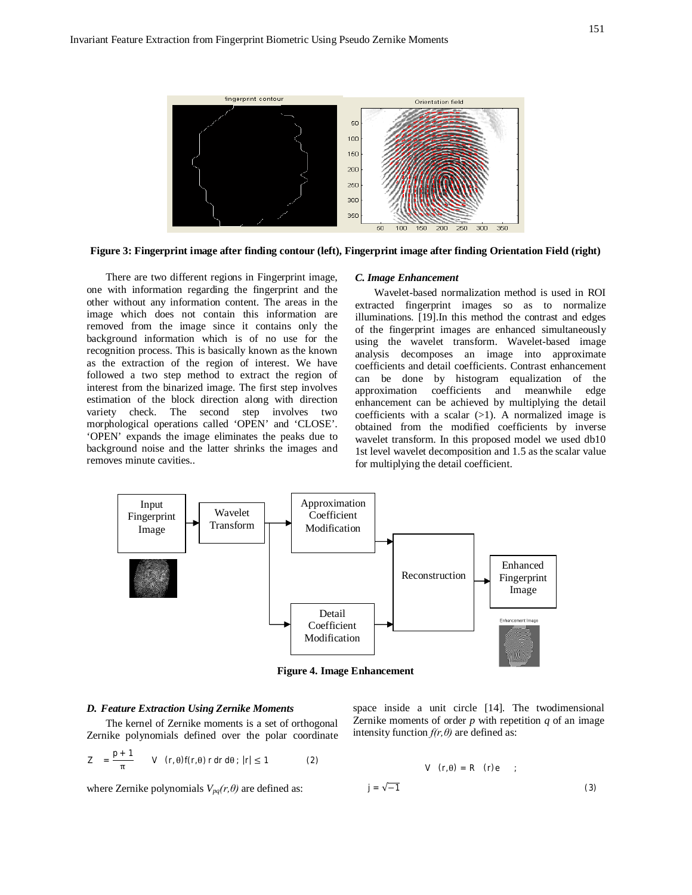

**Figure 3: Fingerprint image after finding contour (left), Fingerprint image after finding Orientation Field (right)**

There are two different regions in Fingerprint image, one with information regarding the fingerprint and the other without any information content. The areas in the image which does not contain this information are removed from the image since it contains only the background information which is of no use for the recognition process. This is basically known as the known as the extraction of the region of interest. We have followed a two step method to extract the region of interest from the binarized image. The first step involves estimation of the block direction along with direction variety check. The second step involves two morphological operations called 'OPEN' and 'CLOSE'. 'OPEN' expands the image eliminates the peaks due to background noise and the latter shrinks the images and removes minute cavities.*.*

#### *C. Image Enhancement*

Wavelet-based normalization method is used in ROI extracted fingerprint images so as to normalize illuminations. [19].In this method the contrast and edges of the fingerprint images are enhanced simultaneously using the wavelet transform. Wavelet-based image analysis decomposes an image into approximate coefficients and detail coefficients. Contrast enhancement can be done by histogram equalization of the approximation coefficients and meanwhile edge enhancement can be achieved by multiplying the detail coefficients with a scalar  $(>1)$ . A normalized image is obtained from the modified coefficients by inverse wavelet transform. In this proposed model we used db10 1st level wavelet decomposition and 1.5 as the scalar value for multiplying the detail coefficient.



**Figure 4. Image Enhancement**

#### *D. Feature Extraction Using Zernike Moments*

The kernel of Zernike moments is a set of orthogonal Zernike polynomials defined over the polar coordinate

$$
Z = \frac{p+1}{\pi} \qquad V \quad (r, \theta) f(r, \theta) \ r \ dr \ d\theta \ ; \ |r| \le 1 \tag{2}
$$

where Zernike polynomials  $V_{pq}(r,\theta)$  are defined as:

space inside a unit circle [14]. The twodimensional Zernike moments of order  $p$  with repetition  $q$  of an image intensity function *f(r,θ)* are defined as:

$$
V (r, \theta) = R (r)e
$$
  

$$
j = \sqrt{-1}
$$
 (3)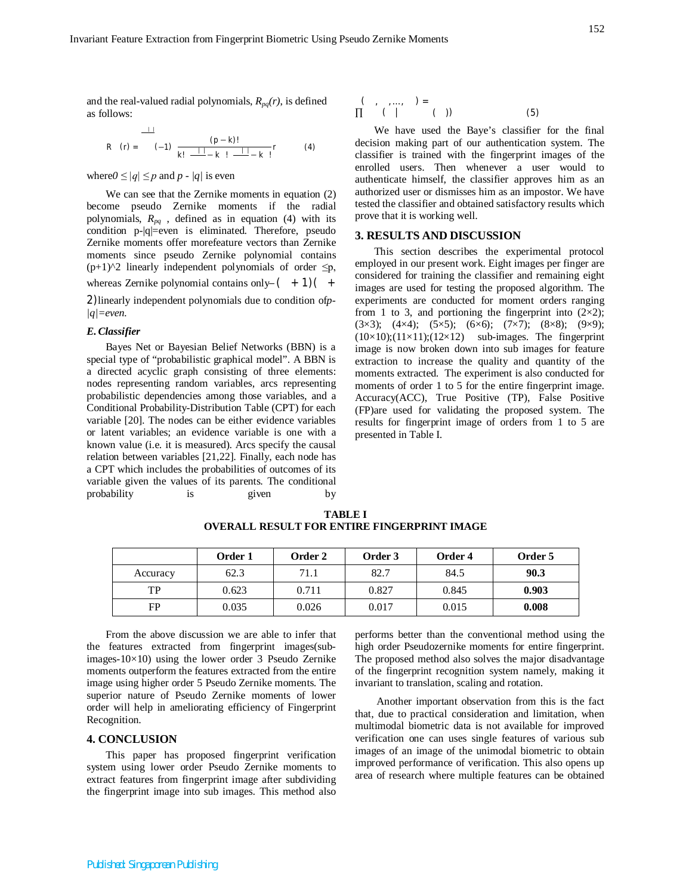and the real-valued radial polynomials,  $R_{pa}(r)$ , is defined as follows:

R (r) = 
$$
\begin{pmatrix} (p-k)! \\ k! \end{pmatrix} \frac{(p-k)!}{k! \cdot 1! \cdot k! \cdot 1!} \begin{pmatrix} k \\ k \end{pmatrix}
$$
 (4)

where  $0 \leq |q| \leq p$  and  $p - |q|$  is even

 $\|$ 

We can see that the Zernike moments in equation (2) become pseudo Zernike moments if the radial polynomials,  $R_{pq}$ , defined as in equation (4) with its condition  $p-|q|=even$  is eliminated. Therefore, pseudo Zernike moments offer morefeature vectors than Zernike moments since pseudo Zernike polynomial contains  $(p+1)^{2}$  linearly independent polynomials of order  $\leq p$ , whereas Zernike polynomial contains only- $( + 1)( +$ 2)linearly independent polynomials due to condition of*p- |q|=even.*

#### *E.Classifier*

Bayes Net or Bayesian Belief Networks (BBN) is a special type of "probabilistic graphical model". A BBN is a directed acyclic graph consisting of three elements: nodes representing random variables, arcs representing probabilistic dependencies among those variables, and a Conditional Probability-Distribution Table (CPT) for each variable [20]. The nodes can be either evidence variables or latent variables; an evidence variable is one with a known value (i.e. it is measured). Arcs specify the causal relation between variables [21,22]. Finally, each node has a CPT which includes the probabilities of outcomes of its variable given the values of its parents. The conditional probability is given by

$$
\left(\begin{array}{ccc}\n\cdot & \cdot & \cdot & \cdot \\
\cdot & \cdot & \cdot & \cdot \\
\hline\n\end{array}\right) = \left(\begin{array}{ccc}\n\cdot & \cdot & \cdot & \cdot \\
\cdot & \cdot & \cdot & \cdot \\
\cdot & \cdot & \cdot & \cdot\n\end{array}\right) \tag{5}
$$

We have used the Baye's classifier for the final decision making part of our authentication system. The classifier is trained with the fingerprint images of the enrolled users. Then whenever a user would to authenticate himself, the classifier approves him as an authorized user or dismisses him as an impostor. We have tested the classifier and obtained satisfactory results which prove that it is working well.

## **3. RESULTS AND DISCUSSION**

This section describes the experimental protocol employed in our present work. Eight images per finger are considered for training the classifier and remaining eight images are used for testing the proposed algorithm. The experiments are conducted for moment orders ranging from 1 to 3, and portioning the fingerprint into  $(2\times 2)$ ;  $(3\times3)$ ;  $(4\times4)$ ;  $(5\times5)$ ;  $(6\times6)$ ;  $(7\times7)$ ;  $(8\times8)$ ;  $(9\times9)$ ;  $(10\times10);(11\times11);(12\times12)$  sub-images. The fingerprint image is now broken down into sub images for feature extraction to increase the quality and quantity of the moments extracted. The experiment is also conducted for moments of order 1 to 5 for the entire fingerprint image. Accuracy(ACC), True Positive (TP), False Positive (FP)are used for validating the proposed system. The results for fingerprint image of orders from 1 to 5 are presented in Table I.

|          | Order 1 | Order 2 | Order 3 | Order 4 | Order 5 |
|----------|---------|---------|---------|---------|---------|
| Accuracy | 62.3    | 71.1    | 82.7    | 84.5    | 90.3    |
| TP       | 0.623   | 0.711   | 0.827   | 0.845   | 0.903   |
| FP       | 0.035   | 0.026   | 0.017   | 0.015   | 0.008   |

**TABLE I OVERALL RESULT FOR ENTIRE FINGERPRINT IMAGE**

From the above discussion we are able to infer that the features extracted from fingerprint images(subimages-10 $\times$ 10) using the lower order 3 Pseudo Zernike moments outperform the features extracted from the entire image using higher order 5 Pseudo Zernike moments. The superior nature of Pseudo Zernike moments of lower order will help in ameliorating efficiency of Fingerprint Recognition.

## **4. CONCLUSION**

This paper has proposed fingerprint verification system using lower order Pseudo Zernike moments to extract features from fingerprint image after subdividing the fingerprint image into sub images. This method also performs better than the conventional method using the high order Pseudozernike moments for entire fingerprint. The proposed method also solves the major disadvantage of the fingerprint recognition system namely, making it invariant to translation, scaling and rotation.

Another important observation from this is the fact that, due to practical consideration and limitation, when multimodal biometric data is not available for improved verification one can uses single features of various sub images of an image of the unimodal biometric to obtain improved performance of verification. This also opens up area of research where multiple features can be obtained